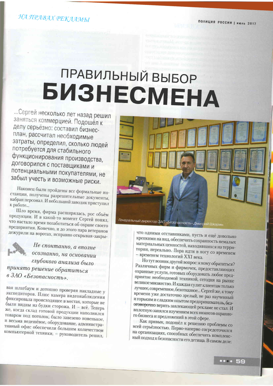# ПРАВИЛЬНЫЙ ВЫБОР **БИЗНЕСМЕНА**

... Сергей несколько лет назад решил заняться коммерцией. Подошёл к делу серьёзно: составил бизнесплан, рассчитал необходимые затраты, определил, сколько людей потребуется для стабильного функционирования производства, договорился с поставщиками и потенциальными покупателями, не забыл учесть и возможные риски.

Наконец были пройдены все формальные инстанции, получены разрешительные документы, набран персонал. И небольшой заводик приступил к работе...

Шло время, фирма расширялась, рос объём продукции. И в какой-то момент Сергей понял, что настало время позаботиться об охране своего предприятия. Конечно, и до этого пара ветеранов дежурили на воротах, исправно открывая-закры-



Не спонтанно, а вполне осознанно, на основании глубокого анализа было принято решение обратиться в ЗАО «Безопасность».

вая шлагбаум и дотошно проверяя накладные у экспедиторов. Плюс камера видеонаблюдения фиксировала происходящее в местах, которые не были видны из будки сторожа. И - всё. Теперь же, когда склад готовой продукции наполнился товаром под потолок, было завезено новенькое, и весьма недешёвое, оборудование, административный офис обеспечили большим количеством компьютерной техники, - руководитель решил,



что одними отставниками, пусть и ещё довольно крепкими на вид, обеспечить сохранность немалых .<br>материальных ценностей, находившихся на территории, нереально. Пора идти в ногу со временем - временем технологий XXI века.

Но тут возник другой вопрос: к кому обратиться? Различных фирм и фирмочек, предоставляющих охранные услуги, готовых оборудовать любое предприятие необходимой техникой, сегодня на рынке .<br>великое множество. И каждая сулит клиентам только лучшее, современное, безотказное... Сергей же, к тому времени уже достаточно зрелый, не раз наученный и горьким и сладким опытом предприниматель, безоговорочно верить завлекающей рекламе не стал. И вплотную занялся изучением всех нюансов охранного бизнеса и предложений в этой сфере.

Как привык, подошёл к решению проблемы со всей серьёзностью. Перво-наперво сосредоточился на организациях, способных обеспечить комплексный подход к безопасности его детища. В самом деле: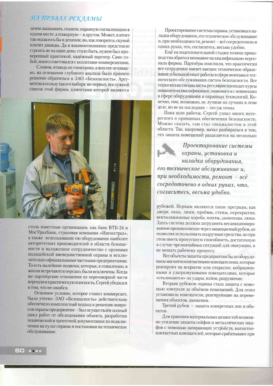### НА ПРАВАХ РЕКЛАМЫ

зачем заказывать, скажем, охранную сигнализацию в одном месте, а пожарную - в другом. Может, в итоге так оказалось бы и дешевле, но, как говорится, скупой платит дважды. Да и взаимоотношения предстояло строить не на один день: стало быть, нужен был проверенный практикой, надёжный партнер. Само собой, много советовался с коллегами-коммерсантами.

Словом, отнюдь не спонтанно, а вполне осознанно, на основании глубокого анализа было принято решение обратиться в ЗАО «Безопасность». Аргументы в пользу такого выбора: во-первых, послужной список этой фирмы, клиентами которой являются



столь известные организации, как банк ВТБ-24 и МосУралБанк, страховая компания «Ингосстрах», а также использование ею оборудования наиболее авторитетных производителей в области безопасности и налаженное сотрудничество с органами полицейской вневедомственной охраны и исключительно официальными частными предприятиями. То есть малейшие подвохи, которые, к сожалению, в жизни встречаются нередко, были исключены. Когда же партнёрские отношения из переговорной части перешли в практическую плоскость, Сергей убедился в том, что не ошибся.

Основное условие, которое ставил коммерсант, было учтено: ЗАО «Безопасность» действительно обеспечило комплексный подход к решению вопросов охраны предприятия - был осуществлён полный цикл работ от обследования объекта, разработки технической и проектной документации до подключения на пульт охраны и постановки на техническое обслуживание.

Проектирование системы охраны, установка и наладка оборудования, его техническое обслуживание и, при необходимости, ремонт - всё сосредоточено в одних руках, что, согласитесь, весьма удобно.

Ещё на подготовительной стадии хозяин производства обратил внимание на квалификацию персонала фирмы. Партнёры пояснили, что практически все сотрудники имеют высшее техническое образование и большой опыт работы в сфере монтажа и технического обслуживания систем безопасности. Все технические специалисты регулярно проходят курсы повышения квалификации, знакомятся с новинками в сфере оборудования и охранных технологий. Конечно, они, возможно, не лучшие из лучших в этом деле, но не из последних - это уж точно.

Пока шли работы, Сергей узнал много интересного о принципах обеспечения безопасности. Можно сказать, сам стал специалистом в этой области. Так, например, начал разбираться в том, что защита помещений разделяется на несколько

Проектирование системы охраны, установка и наладка оборудования, его техническое обслуживание и, при необходимости, ремонт – всё сосредоточено в одних руках, что, согласитесь, весьма удобно.

рубежей. Первым являются такие преграды, как двери, окна, люки, проёмы, стены, перекрытия, вентиляционные короба, шахты, дымоходы, люки. Здесь система должна затруднять несанкционированное проникновение через защищаемый рубеж, не позволяя использовать подручные средства, но при этом иметь пропускную способность, достаточную в случае чрезвычайных ситуаций для эвакуации, и не мешать рабочему процессу.

Все объекты защиты предприятия были оборудованы магнитноконтактными извещателями, которые реагируют на вскрытие или открытие; вибрационными и ультразвуковыми извещателями, которые «откликаются» на удары, взлом, разрушение.

Вторым рубежом охраны стала защита с помощью контроля за объёмом помещений. Для этого установили извещатели, реагирующие на перемещения объектов, движения.

Третий рубеж - защита конкретных зон и объектов.

Для хранения материальных ценностей возможно усиление защиты сейфов и металлических шкафов с помощью запирающих устройств, магнитноконтактных извещателей, которые срабатывают при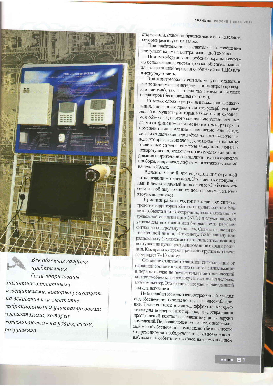

Все объекты защиты предприятия были оборудованы магнитноконтактными извещателями, которые реагируют на вскрытие или открытие; вибрационными и ультразвуковыми извещателями, которые «откликаются» на удары, взлом, разрушение.

открывании, а также вибрационными извещателями, которые реагируют на взлом.

При срабатывании извещателей все сообщения поступают на пульт централизованной охраны.

Помимо оборудования рубсжей охраны возможно использование систем тревожной сигнализации для оперативной передачи сообщений на ПЦО или в дежурную часть.

При этом тревожные сигналы могут передаваться как по линиям связи интернет-провайдеров (проводная система), так и по каналам передачи сотовых операторов (беспроводная система).

Не менее сложно устроена и пожарная сигнализация, призванная предотвратить ущерб здоровью людей и имуществу, которые находятся на охраняемом объекте. Для этого специально установленные датчики фиксируют изменение температуры в помещении, задымление и появление огня. Затем сигнал от датчиков передаётся на контрольную панель, которая, в свою очередь, включает сигнальные и световые сирены, системы эвакуации людей и пожаротушения, отключает программы кондиционирования и приточной вентиляции, технологические приборы, направляет лифты многоэтажных зданий на первый этаж.

Выяснил Сергей, что ещё один вид охранной сигнализации - тревожная. Это наиболее популярный и демократичный по цене способ обезопасить себя и своё имущество от посягательства на него злоумышленников.

.<br>Принцип работы состоит в передаче сигнала тревоги с территории объекта на пульт полиции. Владелец объекта или его сотрудник, нажимая на кнопку тревожной сигнализации (КТС) в случае наличия угрозы для его жизни или безопасности, передаёт сигнал на контрольную панель. Сигнал с панели по телефонной линии, Интернету, GSM-каналу или радиоканалу (в зависимости от типа сигнализации) поступает на пульт централизованной охраны полиции. Как правило, время прибытия группы на объект составляет 7-10 минут.

Основное отличие тревожной сигнализации от охранной состоит в том, что система сигнализации в первом случае не осуществляет автоматический контроль объекта, поскольку сигнал подаёт человек, а не компьютер. Это значительно удешевляет данный вид сигнализации.

Не был забыт и столь распространённый сегодня вид обеспечения безопасности, как видеонаблюдение. Такие системы являются эффективным средством для поддержания порядка, предотвращения преступлений, контроля ситуации внутри и снаружи помещений. Видеонаблюдение считается неотъемлемой мерой обеспечения комплексной безопасности. Современное видеооборудование даёт возможность наблюдать за событиями в офисе, на промышленном